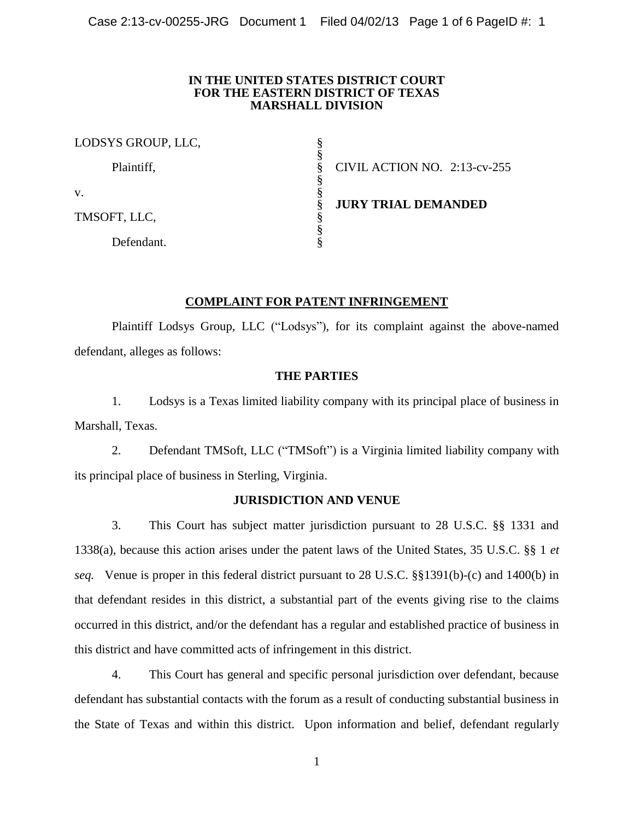### **IN THE UNITED STATES DISTRICT COURT FOR THE EASTERN DISTRICT OF TEXAS MARSHALL DIVISION**

| LODSYS GROUP, LLC, |                                 |
|--------------------|---------------------------------|
| Plaintiff,         | CIVIL ACTION NO. $2:13$ -cv-255 |
| V.                 | <b>JURY TRIAL DEMANDED</b>      |
| TMSOFT, LLC,       |                                 |
| Defendant.         |                                 |

# **COMPLAINT FOR PATENT INFRINGEMENT**

Plaintiff Lodsys Group, LLC ("Lodsys"), for its complaint against the above-named defendant, alleges as follows:

# **THE PARTIES**

1. Lodsys is a Texas limited liability company with its principal place of business in Marshall, Texas.

2. Defendant TMSoft, LLC ("TMSoft") is a Virginia limited liability company with its principal place of business in Sterling, Virginia.

## **JURISDICTION AND VENUE**

3. This Court has subject matter jurisdiction pursuant to 28 U.S.C. §§ 1331 and 1338(a), because this action arises under the patent laws of the United States, 35 U.S.C. §§ 1 *et seq.* Venue is proper in this federal district pursuant to 28 U.S.C. §§1391(b)-(c) and 1400(b) in that defendant resides in this district, a substantial part of the events giving rise to the claims occurred in this district, and/or the defendant has a regular and established practice of business in this district and have committed acts of infringement in this district.

4. This Court has general and specific personal jurisdiction over defendant, because defendant has substantial contacts with the forum as a result of conducting substantial business in the State of Texas and within this district. Upon information and belief, defendant regularly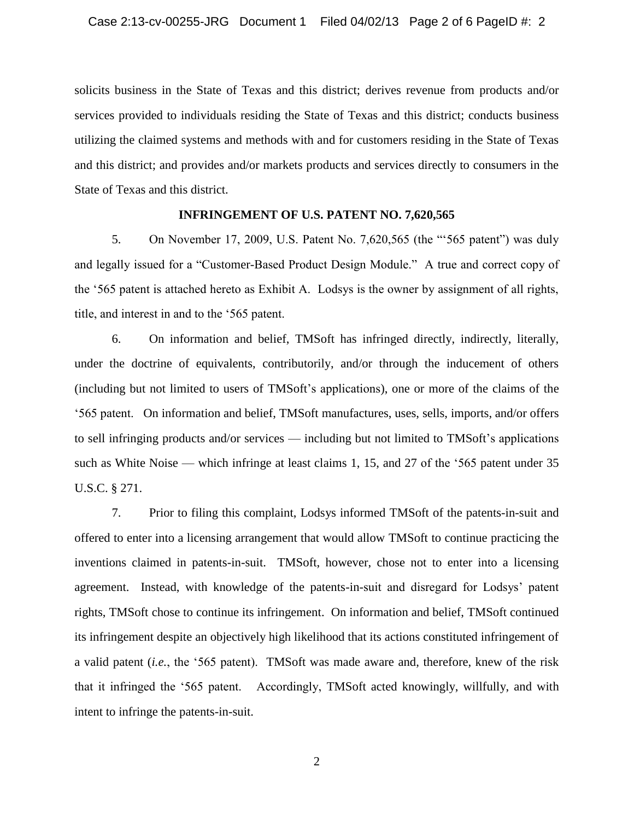solicits business in the State of Texas and this district; derives revenue from products and/or services provided to individuals residing the State of Texas and this district; conducts business utilizing the claimed systems and methods with and for customers residing in the State of Texas and this district; and provides and/or markets products and services directly to consumers in the State of Texas and this district.

### **INFRINGEMENT OF U.S. PATENT NO. 7,620,565**

5. On November 17, 2009, U.S. Patent No. 7,620,565 (the "'565 patent") was duly and legally issued for a "Customer-Based Product Design Module." A true and correct copy of the '565 patent is attached hereto as Exhibit A. Lodsys is the owner by assignment of all rights, title, and interest in and to the '565 patent.

6. On information and belief, TMSoft has infringed directly, indirectly, literally, under the doctrine of equivalents, contributorily, and/or through the inducement of others (including but not limited to users of TMSoft's applications), one or more of the claims of the '565 patent. On information and belief, TMSoft manufactures, uses, sells, imports, and/or offers to sell infringing products and/or services — including but not limited to TMSoft's applications such as White Noise — which infringe at least claims 1, 15, and 27 of the '565 patent under 35 U.S.C. § 271.

7. Prior to filing this complaint, Lodsys informed TMSoft of the patents-in-suit and offered to enter into a licensing arrangement that would allow TMSoft to continue practicing the inventions claimed in patents-in-suit. TMSoft, however, chose not to enter into a licensing agreement. Instead, with knowledge of the patents-in-suit and disregard for Lodsys' patent rights, TMSoft chose to continue its infringement. On information and belief, TMSoft continued its infringement despite an objectively high likelihood that its actions constituted infringement of a valid patent (*i.e.*, the '565 patent). TMSoft was made aware and, therefore, knew of the risk that it infringed the '565 patent. Accordingly, TMSoft acted knowingly, willfully, and with intent to infringe the patents-in-suit.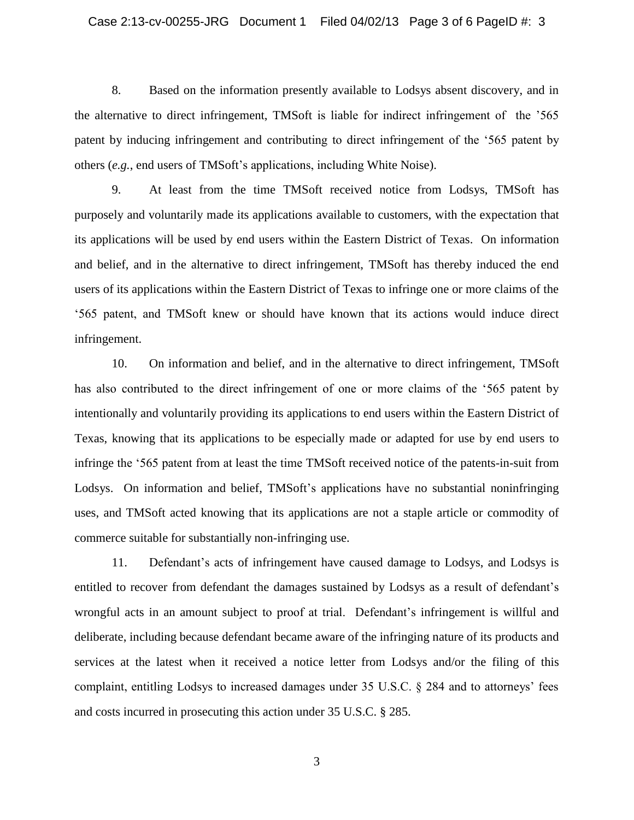8. Based on the information presently available to Lodsys absent discovery, and in the alternative to direct infringement, TMSoft is liable for indirect infringement of the '565 patent by inducing infringement and contributing to direct infringement of the '565 patent by others (*e.g.*, end users of TMSoft's applications, including White Noise).

9. At least from the time TMSoft received notice from Lodsys, TMSoft has purposely and voluntarily made its applications available to customers, with the expectation that its applications will be used by end users within the Eastern District of Texas. On information and belief, and in the alternative to direct infringement, TMSoft has thereby induced the end users of its applications within the Eastern District of Texas to infringe one or more claims of the '565 patent, and TMSoft knew or should have known that its actions would induce direct infringement.

10. On information and belief, and in the alternative to direct infringement, TMSoft has also contributed to the direct infringement of one or more claims of the '565 patent by intentionally and voluntarily providing its applications to end users within the Eastern District of Texas, knowing that its applications to be especially made or adapted for use by end users to infringe the '565 patent from at least the time TMSoft received notice of the patents-in-suit from Lodsys. On information and belief, TMSoft's applications have no substantial noninfringing uses, and TMSoft acted knowing that its applications are not a staple article or commodity of commerce suitable for substantially non-infringing use.

11. Defendant's acts of infringement have caused damage to Lodsys, and Lodsys is entitled to recover from defendant the damages sustained by Lodsys as a result of defendant's wrongful acts in an amount subject to proof at trial. Defendant's infringement is willful and deliberate, including because defendant became aware of the infringing nature of its products and services at the latest when it received a notice letter from Lodsys and/or the filing of this complaint, entitling Lodsys to increased damages under 35 U.S.C. § 284 and to attorneys' fees and costs incurred in prosecuting this action under 35 U.S.C. § 285.

3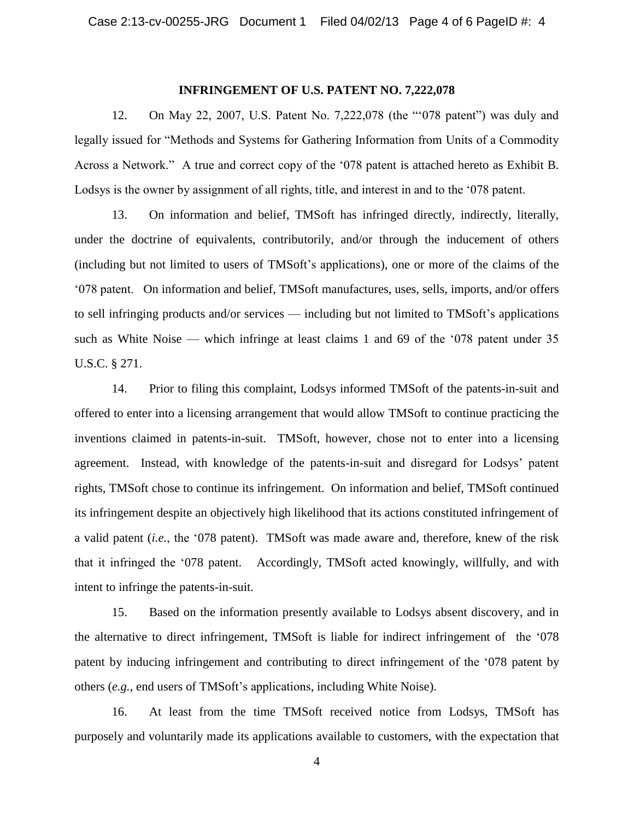#### **INFRINGEMENT OF U.S. PATENT NO. 7,222,078**

12. On May 22, 2007, U.S. Patent No. 7,222,078 (the "'078 patent") was duly and legally issued for "Methods and Systems for Gathering Information from Units of a Commodity Across a Network." A true and correct copy of the '078 patent is attached hereto as Exhibit B. Lodsys is the owner by assignment of all rights, title, and interest in and to the '078 patent.

13. On information and belief, TMSoft has infringed directly, indirectly, literally, under the doctrine of equivalents, contributorily, and/or through the inducement of others (including but not limited to users of TMSoft's applications), one or more of the claims of the '078 patent. On information and belief, TMSoft manufactures, uses, sells, imports, and/or offers to sell infringing products and/or services — including but not limited to TMSoft's applications such as White Noise — which infringe at least claims 1 and 69 of the '078 patent under 35 U.S.C. § 271.

14. Prior to filing this complaint, Lodsys informed TMSoft of the patents-in-suit and offered to enter into a licensing arrangement that would allow TMSoft to continue practicing the inventions claimed in patents-in-suit. TMSoft, however, chose not to enter into a licensing agreement. Instead, with knowledge of the patents-in-suit and disregard for Lodsys' patent rights, TMSoft chose to continue its infringement. On information and belief, TMSoft continued its infringement despite an objectively high likelihood that its actions constituted infringement of a valid patent (*i.e.*, the '078 patent). TMSoft was made aware and, therefore, knew of the risk that it infringed the '078 patent. Accordingly, TMSoft acted knowingly, willfully, and with intent to infringe the patents-in-suit.

15. Based on the information presently available to Lodsys absent discovery, and in the alternative to direct infringement, TMSoft is liable for indirect infringement of the '078 patent by inducing infringement and contributing to direct infringement of the '078 patent by others (*e.g.*, end users of TMSoft's applications, including White Noise).

16. At least from the time TMSoft received notice from Lodsys, TMSoft has purposely and voluntarily made its applications available to customers, with the expectation that

4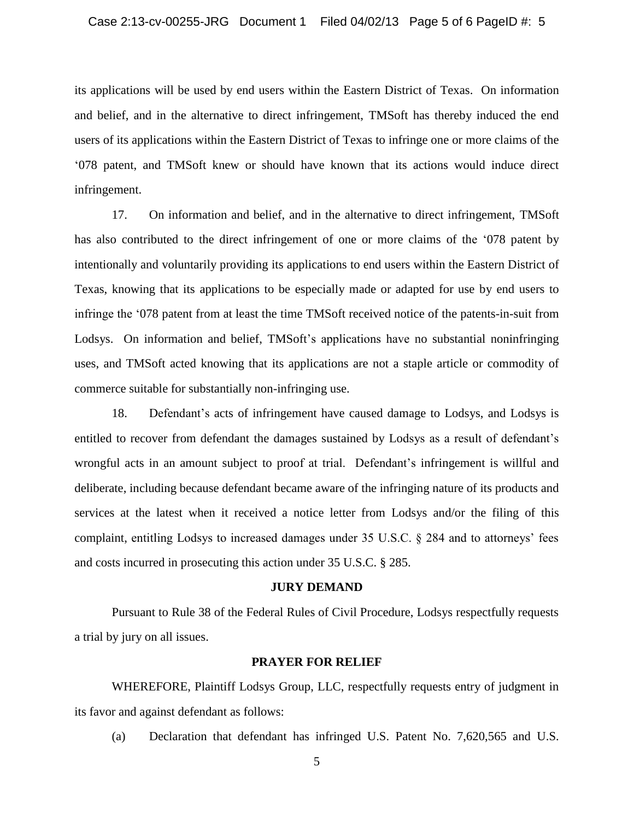its applications will be used by end users within the Eastern District of Texas. On information and belief, and in the alternative to direct infringement, TMSoft has thereby induced the end users of its applications within the Eastern District of Texas to infringe one or more claims of the '078 patent, and TMSoft knew or should have known that its actions would induce direct infringement.

17. On information and belief, and in the alternative to direct infringement, TMSoft has also contributed to the direct infringement of one or more claims of the '078 patent by intentionally and voluntarily providing its applications to end users within the Eastern District of Texas, knowing that its applications to be especially made or adapted for use by end users to infringe the '078 patent from at least the time TMSoft received notice of the patents-in-suit from Lodsys. On information and belief, TMSoft's applications have no substantial noninfringing uses, and TMSoft acted knowing that its applications are not a staple article or commodity of commerce suitable for substantially non-infringing use.

18. Defendant's acts of infringement have caused damage to Lodsys, and Lodsys is entitled to recover from defendant the damages sustained by Lodsys as a result of defendant's wrongful acts in an amount subject to proof at trial. Defendant's infringement is willful and deliberate, including because defendant became aware of the infringing nature of its products and services at the latest when it received a notice letter from Lodsys and/or the filing of this complaint, entitling Lodsys to increased damages under 35 U.S.C. § 284 and to attorneys' fees and costs incurred in prosecuting this action under 35 U.S.C. § 285.

#### **JURY DEMAND**

Pursuant to Rule 38 of the Federal Rules of Civil Procedure, Lodsys respectfully requests a trial by jury on all issues.

### **PRAYER FOR RELIEF**

WHEREFORE, Plaintiff Lodsys Group, LLC, respectfully requests entry of judgment in its favor and against defendant as follows:

(a) Declaration that defendant has infringed U.S. Patent No. 7,620,565 and U.S.